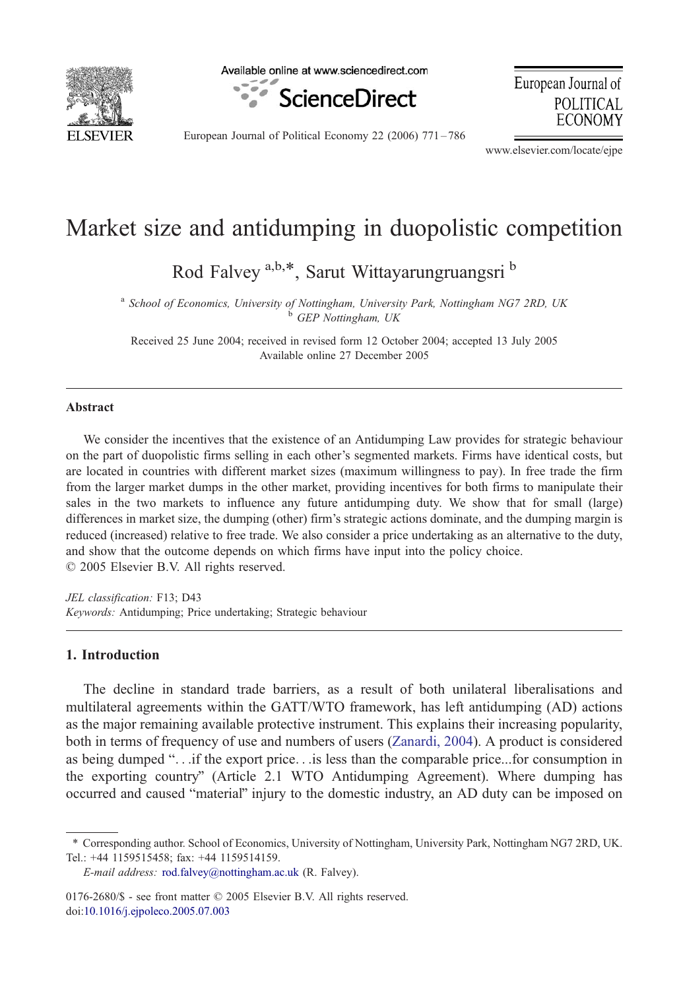

Available online at www.sciencedirect.com



European Journal of POLITICAL ECONOMY

European Journal of Political Economy 22 (2006) 771 – 786

www.elsevier.com/locate/ejpe

## Market size and antidumping in duopolistic competition

Rod Falvey <sup>a,b,\*</sup>, Sarut Wittayarungruangsri <sup>b</sup>

<sup>a</sup> School of Economics, University of Nottingham, University Park, Nottingham NG7 2RD, UK<br><sup>b</sup> GEP Nottingham, UK

Received 25 June 2004; received in revised form 12 October 2004; accepted 13 July 2005 Available online 27 December 2005

## Abstract

We consider the incentives that the existence of an Antidumping Law provides for strategic behaviour on the part of duopolistic firms selling in each other's segmented markets. Firms have identical costs, but are located in countries with different market sizes (maximum willingness to pay). In free trade the firm from the larger market dumps in the other market, providing incentives for both firms to manipulate their sales in the two markets to influence any future antidumping duty. We show that for small (large) differences in market size, the dumping (other) firm's strategic actions dominate, and the dumping margin is reduced (increased) relative to free trade. We also consider a price undertaking as an alternative to the duty, and show that the outcome depends on which firms have input into the policy choice.  $\odot$  2005 Elsevier B.V. All rights reserved.

JEL classification: F13; D43 Keywords: Antidumping; Price undertaking; Strategic behaviour

## 1. Introduction

The decline in standard trade barriers, as a result of both unilateral liberalisations and multilateral agreements within the GATT/WTO framework, has left antidumping (AD) actions as the major remaining available protective instrument. This explains their increasing popularity, both in terms of frequency of use and numbers of users (Za[nardi, 2004\). A](#page--1-0) product is considered as being dumped "...if the export price...is less than the comparable price...for consumption in the exporting country" (Article 2.1 WTO Antidumping Agreement). Where dumping has occurred and caused "material" injury to the domestic industry, an AD duty can be imposed on

<sup>\*</sup> Corresponding author. School of Economics, University of Nottingham, University Park, Nottingham NG7 2RD, UK. Tel.: +44 1159515458; fax: +44 1159514159.

E-mail address: [rod.falvey@nottingham.ac.uk](mailto:rod.falvey@nottingham.ac.uk) (R. Falvey).

 $0176-2680/\$  - see front matter  $\odot$  2005 Elsevier B.V. All rights reserved. [doi:10.1016/j.ejpoleco.2005.07.003](http://dx.doi.org/10.1016/j.ejpoleco.2005.07.003)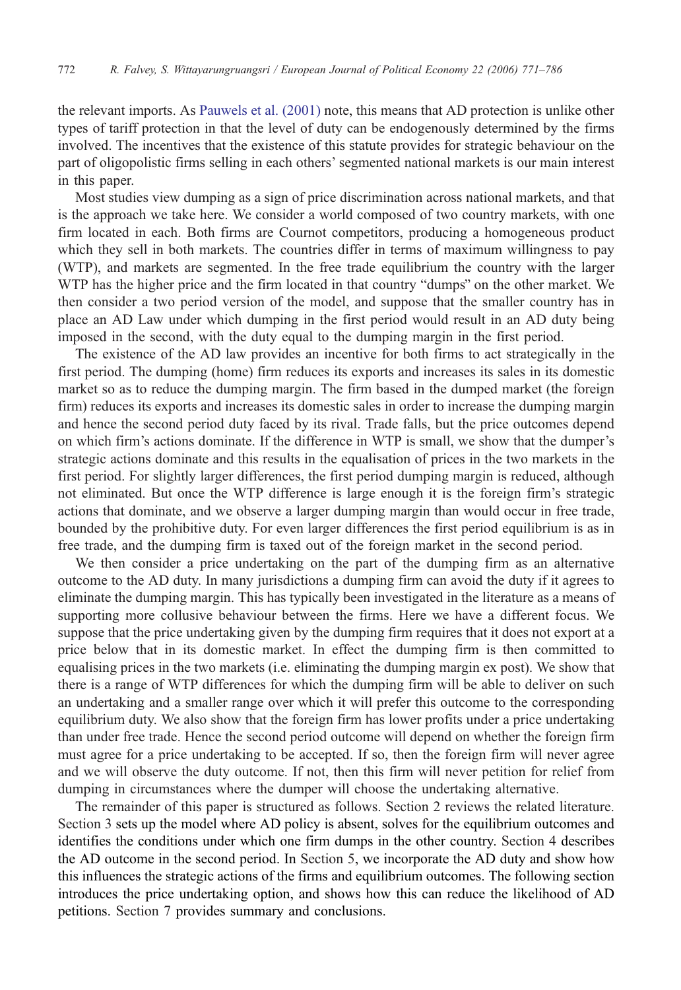the relevant imports. As Pa[uwels et al. \(2001\)](#page--1-0) note, this means that AD protection is unlike other types of tariff protection in that the level of duty can be endogenously determined by the firms involved. The incentives that the existence of this statute provides for strategic behaviour on the part of oligopolistic firms selling in each others' segmented national markets is our main interest in this paper.

Most studies view dumping as a sign of price discrimination across national markets, and that is the approach we take here. We consider a world composed of two country markets, with one firm located in each. Both firms are Cournot competitors, producing a homogeneous product which they sell in both markets. The countries differ in terms of maximum willingness to pay (WTP), and markets are segmented. In the free trade equilibrium the country with the larger WTP has the higher price and the firm located in that country "dumps" on the other market. We then consider a two period version of the model, and suppose that the smaller country has in place an AD Law under which dumping in the first period would result in an AD duty being imposed in the second, with the duty equal to the dumping margin in the first period.

The existence of the AD law provides an incentive for both firms to act strategically in the first period. The dumping (home) firm reduces its exports and increases its sales in its domestic market so as to reduce the dumping margin. The firm based in the dumped market (the foreign firm) reduces its exports and increases its domestic sales in order to increase the dumping margin and hence the second period duty faced by its rival. Trade falls, but the price outcomes depend on which firm's actions dominate. If the difference in WTP is small, we show that the dumper's strategic actions dominate and this results in the equalisation of prices in the two markets in the first period. For slightly larger differences, the first period dumping margin is reduced, although not eliminated. But once the WTP difference is large enough it is the foreign firm's strategic actions that dominate, and we observe a larger dumping margin than would occur in free trade, bounded by the prohibitive duty. For even larger differences the first period equilibrium is as in free trade, and the dumping firm is taxed out of the foreign market in the second period.

We then consider a price undertaking on the part of the dumping firm as an alternative outcome to the AD duty. In many jurisdictions a dumping firm can avoid the duty if it agrees to eliminate the dumping margin. This has typically been investigated in the literature as a means of supporting more collusive behaviour between the firms. Here we have a different focus. We suppose that the price undertaking given by the dumping firm requires that it does not export at a price below that in its domestic market. In effect the dumping firm is then committed to equalising prices in the two markets (i.e. eliminating the dumping margin ex post). We show that there is a range of WTP differences for which the dumping firm will be able to deliver on such an undertaking and a smaller range over which it will prefer this outcome to the corresponding equilibrium duty. We also show that the foreign firm has lower profits under a price undertaking than under free trade. Hence the second period outcome will depend on whether the foreign firm must agree for a price undertaking to be accepted. If so, then the foreign firm will never agree and we will observe the duty outcome. If not, then this firm will never petition for relief from dumping in circumstances where the dumper will choose the undertaking alternative.

The remainder of this paper is structured as follows. Section 2 reviews the related literature. Section 3 sets up the model where AD policy is absent, solves for the equilibrium outcomes and identifies the conditions under which one firm dumps in the other country. Section 4 describes the AD outcome in the second period. In Section 5, we incorporate the AD duty and show how this influences the strategic actions of the firms and equilibrium outcomes. The following section introduces the price undertaking option, and shows how this can reduce the likelihood of AD petitions. Section 7 provides summary and conclusions.